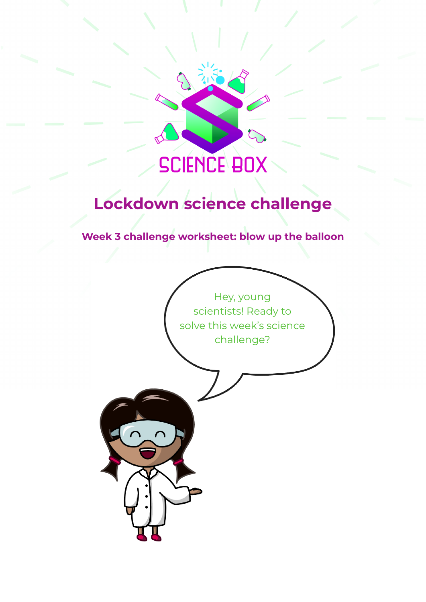

# **Lockdown science challenge**

**Week 3 challenge worksheet: blow up the balloon**

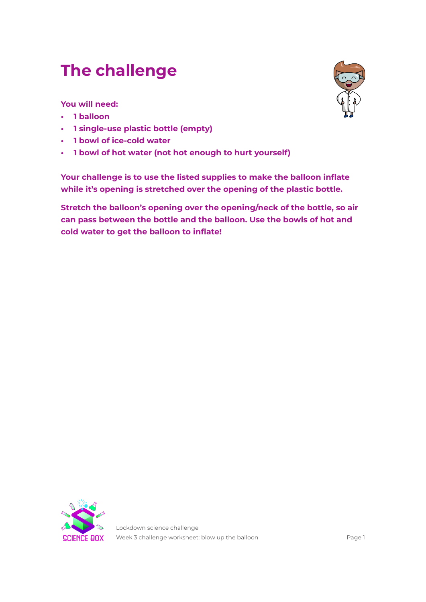## **The challenge**

**You will need:**

- **• 1 balloon**
- **• 1 single-use plastic bottle (empty)**
- **• 1 bowl of ice-cold water**
- **• 1 bowl of hot water (not hot enough to hurt yourself)**

**Your challenge is to use the listed supplies to make the balloon inflate while it's opening is stretched over the opening of the plastic bottle.**

**Stretch the balloon's opening over the opening/neck of the bottle, so air can pass between the bottle and the balloon. Use the bowls of hot and cold water to get the balloon to inflate!**



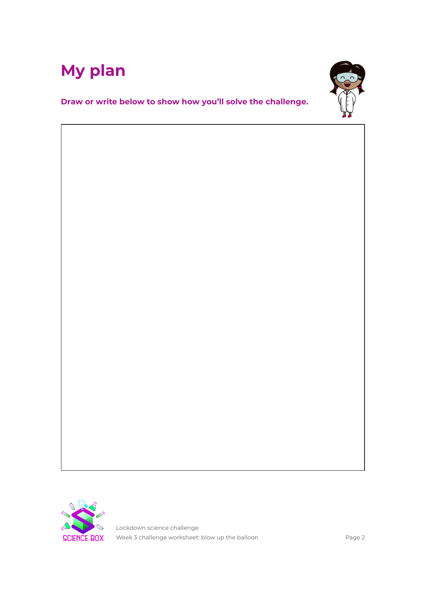



**Draw or write below to show how you'll solve the challenge.**



Lockdown science challenge Week 3 challenge worksheet: blow up the balloon exactled as the same Page 2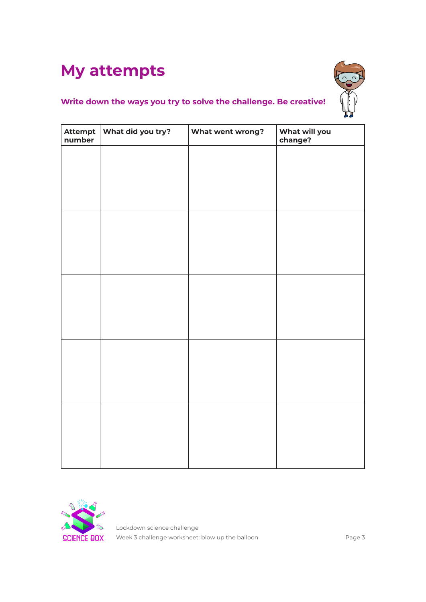# **My attempts**



### **Write down the ways you try to solve the challenge. Be creative!**

| number | Attempt   What did you try? | What went wrong? | What will you<br>change? |
|--------|-----------------------------|------------------|--------------------------|
|        |                             |                  |                          |
|        |                             |                  |                          |
|        |                             |                  |                          |
|        |                             |                  |                          |
|        |                             |                  |                          |
|        |                             |                  |                          |
|        |                             |                  |                          |
|        |                             |                  |                          |
|        |                             |                  |                          |
|        |                             |                  |                          |
|        |                             |                  |                          |
|        |                             |                  |                          |
|        |                             |                  |                          |
|        |                             |                  |                          |
|        |                             |                  |                          |